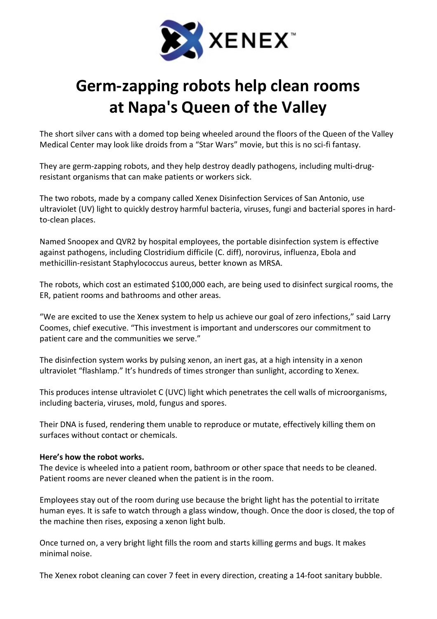

## Germ-zapping robots help clean rooms at Napa's Queen of the Valley

The short silver cans with a domed top being wheeled around the floors of the Queen of the Valley Medical Center may look like droids from a "Star Wars" movie, but this is no sci-fi fantasy.

They are germ-zapping robots, and they help destroy deadly pathogens, including multi-drugresistant organisms that can make patients or workers sick.

The two robots, made by a company called Xenex Disinfection Services of San Antonio, use ultraviolet (UV) light to quickly destroy harmful bacteria, viruses, fungi and bacterial spores in hardto-clean places.

Named Snoopex and QVR2 by hospital employees, the portable disinfection system is effective against pathogens, including Clostridium difficile (C. diff), norovirus, influenza, Ebola and methicillin-resistant Staphylococcus aureus, better known as MRSA.

The robots, which cost an estimated \$100,000 each, are being used to disinfect surgical rooms, the ER, patient rooms and bathrooms and other areas.

"We are excited to use the Xenex system to help us achieve our goal of zero infections," said Larry Coomes, chief executive. "This investment is important and underscores our commitment to patient care and the communities we serve."

The disinfection system works by pulsing xenon, an inert gas, at a high intensity in a xenon ultraviolet "flashlamp." It's hundreds of times stronger than sunlight, according to Xenex.

This produces intense ultraviolet C (UVC) light which penetrates the cell walls of microorganisms, including bacteria, viruses, mold, fungus and spores.

Their DNA is fused, rendering them unable to reproduce or mutate, effectively killing them on surfaces without contact or chemicals.

## Here's how the robot works.

The device is wheeled into a patient room, bathroom or other space that needs to be cleaned. Patient rooms are never cleaned when the patient is in the room.

Employees stay out of the room during use because the bright light has the potential to irritate human eyes. It is safe to watch through a glass window, though. Once the door is closed, the top of the machine then rises, exposing a xenon light bulb.

Once turned on, a very bright light fills the room and starts killing germs and bugs. It makes minimal noise.

The Xenex robot cleaning can cover 7 feet in every direction, creating a 14-foot sanitary bubble.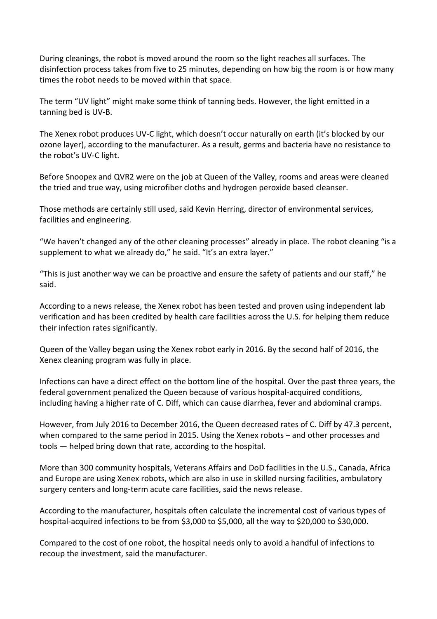During cleanings, the robot is moved around the room so the light reaches all surfaces. The disinfection process takes from five to 25 minutes, depending on how big the room is or how many times the robot needs to be moved within that space.

The term "UV light" might make some think of tanning beds. However, the light emitted in a tanning bed is UV-B.

The Xenex robot produces UV-C light, which doesn't occur naturally on earth (it's blocked by our ozone layer), according to the manufacturer. As a result, germs and bacteria have no resistance to the robot's UV-C light.

Before Snoopex and QVR2 were on the job at Queen of the Valley, rooms and areas were cleaned the tried and true way, using microfiber cloths and hydrogen peroxide based cleanser.

Those methods are certainly still used, said Kevin Herring, director of environmental services, facilities and engineering.

"We haven't changed any of the other cleaning processes" already in place. The robot cleaning "is a supplement to what we already do," he said. "It's an extra layer."

"This is just another way we can be proactive and ensure the safety of patients and our staff," he said.

According to a news release, the Xenex robot has been tested and proven using independent lab verification and has been credited by health care facilities across the U.S. for helping them reduce their infection rates significantly.

Queen of the Valley began using the Xenex robot early in 2016. By the second half of 2016, the Xenex cleaning program was fully in place.

Infections can have a direct effect on the bottom line of the hospital. Over the past three years, the federal government penalized the Queen because of various hospital-acquired conditions, including having a higher rate of C. Diff, which can cause diarrhea, fever and abdominal cramps.

However, from July 2016 to December 2016, the Queen decreased rates of C. Diff by 47.3 percent, when compared to the same period in 2015. Using the Xenex robots – and other processes and tools — helped bring down that rate, according to the hospital.

More than 300 community hospitals, Veterans Affairs and DoD facilities in the U.S., Canada, Africa and Europe are using Xenex robots, which are also in use in skilled nursing facilities, ambulatory surgery centers and long-term acute care facilities, said the news release.

According to the manufacturer, hospitals often calculate the incremental cost of various types of hospital-acquired infections to be from \$3,000 to \$5,000, all the way to \$20,000 to \$30,000.

Compared to the cost of one robot, the hospital needs only to avoid a handful of infections to recoup the investment, said the manufacturer.